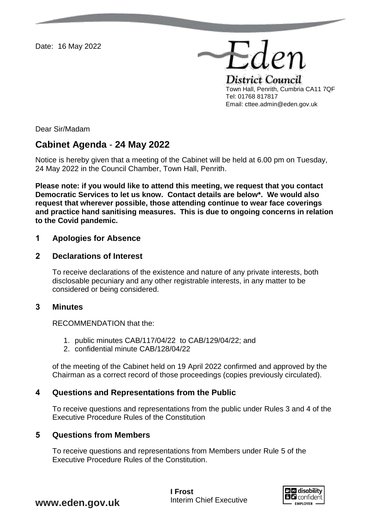Date: 16 May 2022

District Council Town Hall, Penrith, Cumbria CA11 7QF Tel: 01768 817817 Email: cttee.admin@eden.gov.uk

Eden

Dear Sir/Madam

# **Cabinet Agenda** - **24 May 2022**

Notice is hereby given that a meeting of the Cabinet will be held at 6.00 pm on Tuesday, 24 May 2022 in the Council Chamber, Town Hall, Penrith.

**Please note: if you would like to attend this meeting, we request that you contact Democratic Services to let us know. Contact details are below\*. We would also request that wherever possible, those attending continue to wear face coverings and practice hand sanitising measures. This is due to ongoing concerns in relation to the Covid pandemic.** 

## **1 Apologies for Absence**

## **2 Declarations of Interest**

To receive declarations of the existence and nature of any private interests, both disclosable pecuniary and any other registrable interests, in any matter to be considered or being considered.

## **3 Minutes**

RECOMMENDATION that the:

- 1. public minutes CAB/117/04/22 to CAB/129/04/22; and
- 2. confidential minute CAB/128/04/22

of the meeting of the Cabinet held on 19 April 2022 confirmed and approved by the Chairman as a correct record of those proceedings (copies previously circulated).

## **4 Questions and Representations from the Public**

To receive questions and representations from the public under Rules 3 and 4 of the Executive Procedure Rules of the Constitution

## **5 Questions from Members**

To receive questions and representations from Members under Rule 5 of the Executive Procedure Rules of the Constitution.



**www.eden.gov.uk**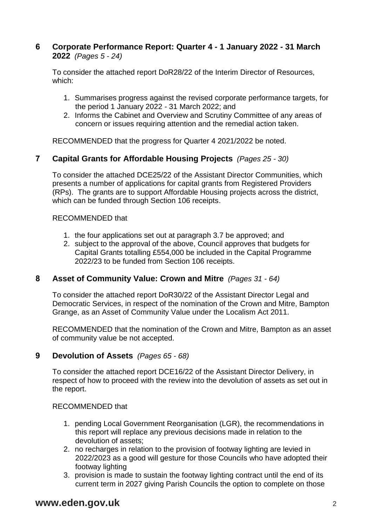## **6 Corporate Performance Report: Quarter 4 - 1 January 2022 - 31 March 2022** *(Pages 5 - 24)*

To consider the attached report DoR28/22 of the Interim Director of Resources, which:

- 1. Summarises progress against the revised corporate performance targets, for the period 1 January 2022 - 31 March 2022; and
- 2. Informs the Cabinet and Overview and Scrutiny Committee of any areas of concern or issues requiring attention and the remedial action taken.

RECOMMENDED that the progress for Quarter 4 2021/2022 be noted.

# **7 Capital Grants for Affordable Housing Projects** *(Pages 25 - 30)*

To consider the attached DCE25/22 of the Assistant Director Communities, which presents a number of applications for capital grants from Registered Providers (RPs). The grants are to support Affordable Housing projects across the district, which can be funded through Section 106 receipts.

## RECOMMENDED that

- 1. the four applications set out at paragraph 3.7 be approved; and
- 2. subject to the approval of the above, Council approves that budgets for Capital Grants totalling £554,000 be included in the Capital Programme 2022/23 to be funded from Section 106 receipts.

## **8 Asset of Community Value: Crown and Mitre** *(Pages 31 - 64)*

To consider the attached report DoR30/22 of the Assistant Director Legal and Democratic Services, in respect of the nomination of the Crown and Mitre, Bampton Grange, as an Asset of Community Value under the Localism Act 2011.

RECOMMENDED that the nomination of the Crown and Mitre, Bampton as an asset of community value be not accepted.

## **9 Devolution of Assets** *(Pages 65 - 68)*

To consider the attached report DCE16/22 of the Assistant Director Delivery, in respect of how to proceed with the review into the devolution of assets as set out in the report.

## RECOMMENDED that

- 1. pending Local Government Reorganisation (LGR), the recommendations in this report will replace any previous decisions made in relation to the devolution of assets;
- 2. no recharges in relation to the provision of footway lighting are levied in 2022/2023 as a good will gesture for those Councils who have adopted their footway lighting
- 3. provision is made to sustain the footway lighting contract until the end of its current term in 2027 giving Parish Councils the option to complete on those

# **www.eden.gov.uk** 2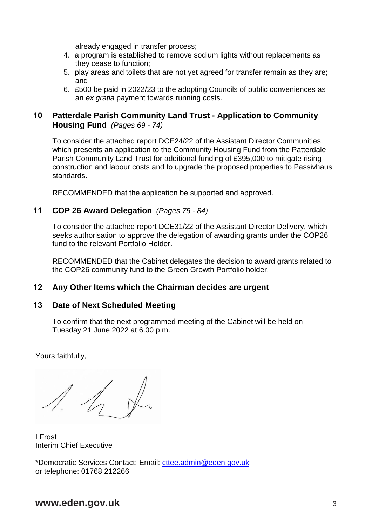already engaged in transfer process;

- 4. a program is established to remove sodium lights without replacements as they cease to function;
- 5. play areas and toilets that are not yet agreed for transfer remain as they are; and
- 6. £500 be paid in 2022/23 to the adopting Councils of public conveniences as an *ex gratia* payment towards running costs.

# **10 Patterdale Parish Community Land Trust - Application to Community Housing Fund** *(Pages 69 - 74)*

To consider the attached report DCE24/22 of the Assistant Director Communities, which presents an application to the Community Housing Fund from the Patterdale Parish Community Land Trust for additional funding of £395,000 to mitigate rising construction and labour costs and to upgrade the proposed properties to Passivhaus standards.

RECOMMENDED that the application be supported and approved.

# **11 COP 26 Award Delegation** *(Pages 75 - 84)*

To consider the attached report DCE31/22 of the Assistant Director Delivery, which seeks authorisation to approve the delegation of awarding grants under the COP26 fund to the relevant Portfolio Holder.

RECOMMENDED that the Cabinet delegates the decision to award grants related to the COP26 community fund to the Green Growth Portfolio holder.

## **12 Any Other Items which the Chairman decides are urgent**

# **13 Date of Next Scheduled Meeting**

To confirm that the next programmed meeting of the Cabinet will be held on Tuesday 21 June 2022 at 6.00 p.m.

Yours faithfully,

 $\frac{1}{2}$ 

I Frost Interim Chief Executive

\*Democratic Services Contact: Email: [cttee.admin@eden.gov.uk](mailto:cttee.admin@eden.gov.uk) or telephone: 01768 212266

# **www.eden.gov.uk** 3